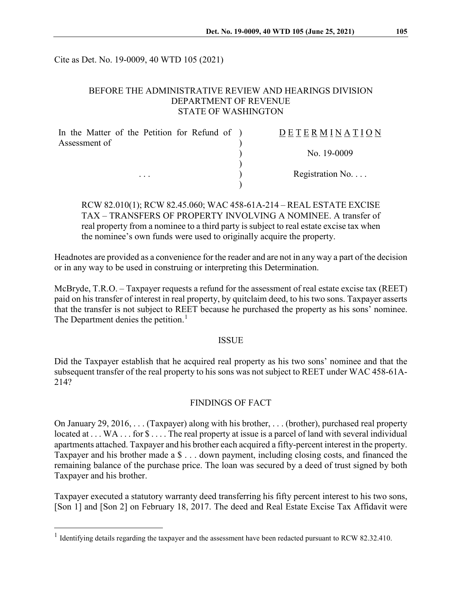Cite as Det. No. 19-0009, 40 WTD 105 (2021)

### BEFORE THE ADMINISTRATIVE REVIEW AND HEARINGS DIVISION DEPARTMENT OF REVENUE STATE OF WASHINGTON

| In the Matter of the Petition for Refund of ) | <b>DETERMINATION</b>     |
|-----------------------------------------------|--------------------------|
| Assessment of                                 |                          |
|                                               | No. 19-0009              |
|                                               |                          |
| $\cdot$ $\cdot$ $\cdot$                       | Registration No. $\dots$ |
|                                               |                          |

RCW 82.010(1); RCW 82.45.060; WAC 458-61A-214 – REAL ESTATE EXCISE TAX – TRANSFERS OF PROPERTY INVOLVING A NOMINEE. A transfer of real property from a nominee to a third party is subject to real estate excise tax when the nominee's own funds were used to originally acquire the property.

Headnotes are provided as a convenience for the reader and are not in any way a part of the decision or in any way to be used in construing or interpreting this Determination.

McBryde, T.R.O. – Taxpayer requests a refund for the assessment of real estate excise tax (REET) paid on his transfer of interest in real property, by quitclaim deed, to his two sons. Taxpayer asserts that the transfer is not subject to REET because he purchased the property as his sons' nominee. The Department denies the petition.<sup>[1](#page-0-0)</sup>

#### ISSUE

Did the Taxpayer establish that he acquired real property as his two sons' nominee and that the subsequent transfer of the real property to his sons was not subject to REET under WAC 458-61A-214?

# FINDINGS OF FACT

On January 29, 2016, . . . (Taxpayer) along with his brother, . . . (brother), purchased real property located at . . . WA . . . for  $\mathcal{S}$  . . . . The real property at issue is a parcel of land with several individual apartments attached. Taxpayer and his brother each acquired a fifty-percent interest in the property. Taxpayer and his brother made a \$ . . . down payment, including closing costs, and financed the remaining balance of the purchase price. The loan was secured by a deed of trust signed by both Taxpayer and his brother.

Taxpayer executed a statutory warranty deed transferring his fifty percent interest to his two sons, [Son 1] and [Son 2] on February 18, 2017. The deed and Real Estate Excise Tax Affidavit were

<span id="page-0-0"></span><sup>&</sup>lt;sup>1</sup> Identifying details regarding the taxpayer and the assessment have been redacted pursuant to RCW 82.32.410.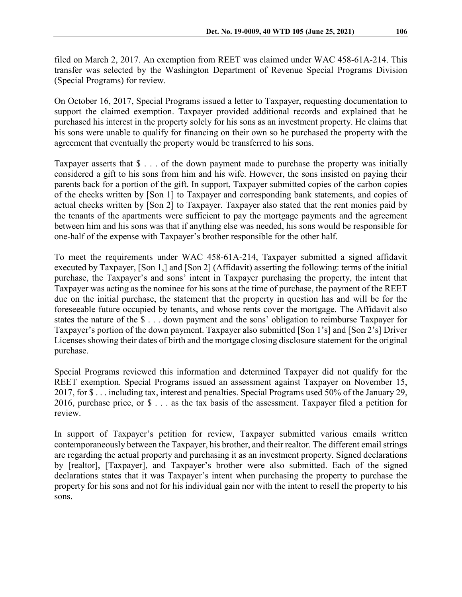filed on March 2, 2017. An exemption from REET was claimed under WAC 458-61A-214. This transfer was selected by the Washington Department of Revenue Special Programs Division (Special Programs) for review.

On October 16, 2017, Special Programs issued a letter to Taxpayer, requesting documentation to support the claimed exemption. Taxpayer provided additional records and explained that he purchased his interest in the property solely for his sons as an investment property. He claims that his sons were unable to qualify for financing on their own so he purchased the property with the agreement that eventually the property would be transferred to his sons.

Taxpayer asserts that \$ . . . of the down payment made to purchase the property was initially considered a gift to his sons from him and his wife. However, the sons insisted on paying their parents back for a portion of the gift. In support, Taxpayer submitted copies of the carbon copies of the checks written by [Son 1] to Taxpayer and corresponding bank statements, and copies of actual checks written by [Son 2] to Taxpayer. Taxpayer also stated that the rent monies paid by the tenants of the apartments were sufficient to pay the mortgage payments and the agreement between him and his sons was that if anything else was needed, his sons would be responsible for one-half of the expense with Taxpayer's brother responsible for the other half.

To meet the requirements under WAC 458-61A-214, Taxpayer submitted a signed affidavit executed by Taxpayer, [Son 1,] and [Son 2] (Affidavit) asserting the following: terms of the initial purchase, the Taxpayer's and sons' intent in Taxpayer purchasing the property, the intent that Taxpayer was acting as the nominee for his sons at the time of purchase, the payment of the REET due on the initial purchase, the statement that the property in question has and will be for the foreseeable future occupied by tenants, and whose rents cover the mortgage. The Affidavit also states the nature of the \$ . . . down payment and the sons' obligation to reimburse Taxpayer for Taxpayer's portion of the down payment. Taxpayer also submitted [Son 1's] and [Son 2's] Driver Licenses showing their dates of birth and the mortgage closing disclosure statement for the original purchase.

Special Programs reviewed this information and determined Taxpayer did not qualify for the REET exemption. Special Programs issued an assessment against Taxpayer on November 15, 2017, for \$ . . . including tax, interest and penalties. Special Programs used 50% of the January 29, 2016, purchase price, or \$ . . . as the tax basis of the assessment. Taxpayer filed a petition for review.

In support of Taxpayer's petition for review, Taxpayer submitted various emails written contemporaneously between the Taxpayer, his brother, and their realtor. The different email strings are regarding the actual property and purchasing it as an investment property. Signed declarations by [realtor], [Taxpayer], and Taxpayer's brother were also submitted. Each of the signed declarations states that it was Taxpayer's intent when purchasing the property to purchase the property for his sons and not for his individual gain nor with the intent to resell the property to his sons.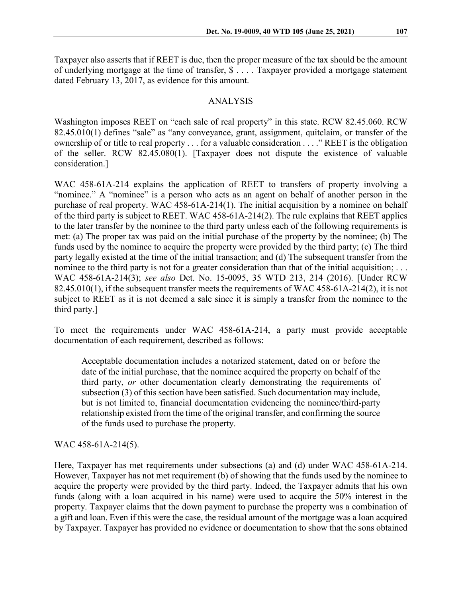Taxpayer also asserts that if REET is due, then the proper measure of the tax should be the amount of underlying mortgage at the time of transfer, \$ . . . . Taxpayer provided a mortgage statement dated February 13, 2017, as evidence for this amount.

#### ANALYSIS

Washington imposes REET on "each sale of real property" in this state. RCW 82.45.060. RCW 82.45.010(1) defines "sale" as "any conveyance, grant, assignment, quitclaim, or transfer of the ownership of or title to real property . . . for a valuable consideration . . . ." REET is the obligation of the seller. RCW 82.45.080(1). [Taxpayer does not dispute the existence of valuable consideration.]

WAC 458-61A-214 explains the application of REET to transfers of property involving a "nominee." A "nominee" is a person who acts as an agent on behalf of another person in the purchase of real property. WAC 458-61A-214(1). The initial acquisition by a nominee on behalf of the third party is subject to REET. WAC 458-61A-214(2). The rule explains that REET applies to the later transfer by the nominee to the third party unless each of the following requirements is met: (a) The proper tax was paid on the initial purchase of the property by the nominee; (b) The funds used by the nominee to acquire the property were provided by the third party; (c) The third party legally existed at the time of the initial transaction; and (d) The subsequent transfer from the nominee to the third party is not for a greater consideration than that of the initial acquisition; ... WAC 458-61A-214(3); *see also* Det. No. 15-0095, 35 WTD 213, 214 (2016). [Under RCW 82.45.010(1), if the subsequent transfer meets the requirements of WAC 458-61A-214(2), it is not subject to REET as it is not deemed a sale since it is simply a transfer from the nominee to the third party.]

To meet the requirements under WAC 458-61A-214, a party must provide acceptable documentation of each requirement, described as follows:

Acceptable documentation includes a notarized statement, dated on or before the date of the initial purchase, that the nominee acquired the property on behalf of the third party, *or* other documentation clearly demonstrating the requirements of subsection (3) of this section have been satisfied. Such documentation may include, but is not limited to, financial documentation evidencing the nominee/third-party relationship existed from the time of the original transfer, and confirming the source of the funds used to purchase the property.

WAC 458-61A-214(5).

Here, Taxpayer has met requirements under subsections (a) and (d) under WAC 458-61A-214. However, Taxpayer has not met requirement (b) of showing that the funds used by the nominee to acquire the property were provided by the third party. Indeed, the Taxpayer admits that his own funds (along with a loan acquired in his name) were used to acquire the 50% interest in the property. Taxpayer claims that the down payment to purchase the property was a combination of a gift and loan. Even if this were the case, the residual amount of the mortgage was a loan acquired by Taxpayer. Taxpayer has provided no evidence or documentation to show that the sons obtained